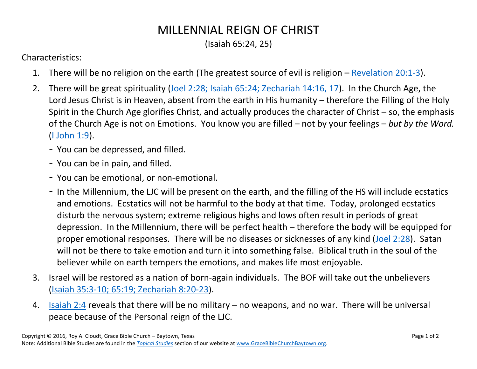## MILLENNIAL REIGN OF CHRIST

(Isaiah 65:24, 25)

Characteristics:

- 1. There will be no religion on the earth (The greatest source of evil is religion  $-$  [Revelation](https://www.biblegateway.com/passage/?search=Revelation+20%3A1-3&version=NASB) 20:1-3).
- 2. There will be great spirituality (Joel 2:28; Isaiah 65:24; [Zechariah 14:16,](https://www.biblegateway.com/passage/?search=Joel+2%3A28%3B+Isaiah+65%3A24%3B+Zechariah+14%3A16-17&version=NASB) 17). In the Church Age, the Lord Jesus Christ is in Heaven, absent from the earth in His humanity – therefore the Filling of the Holy Spirit in the Church Age glorifies Christ, and actually produces the character of Christ – so, the emphasis of the Church Age is not on Emotions. You know you are filled – not by your feelings – *but by the Word.* [\(I John 1:9\)](https://www.biblegateway.com/passage/?search=I+John+1%3A9&version=NASB).
	- You can be depressed, and filled.
	- You can be in pain, and filled.
	- You can be emotional, or non-emotional.
	- In the Millennium, the LJC will be present on the earth, and the filling of the HS will include ecstatics and emotions. Ecstatics will not be harmful to the body at that time. Today, prolonged ecstatics disturb the nervous system; extreme religious highs and lows often result in periods of great depression. In the Millennium, there will be perfect health – therefore the body will be equipped for proper emotional responses. There will be no diseases or sicknesses of any kind [\(Joel 2:28\)](https://www.biblegateway.com/passage/?search=Joel+2%3A28&version=NASB). Satan will not be there to take emotion and turn it into something false. Biblical truth in the soul of the believer while on earth tempers the emotions, and makes life most enjoyable.
- 3. Israel will be restored as a nation of born-again individuals. The BOF will take out the unbelievers [\(Isaiah 35:3-10; 65:19; Zechariah 8:20-23\)](https://www.biblegateway.com/passage/?search=Isaiah+35%3A3-10%3B+65%3A19%3B+Zechariah+8%3A20-23&version=NASB).
- 4. [Isaiah 2:4](https://www.biblegateway.com/passage/?search=Isaiah+2%3A4&version=NASB) reveals that there will be no military no weapons, and no war. There will be universal peace because of the Personal reign of the LJC.